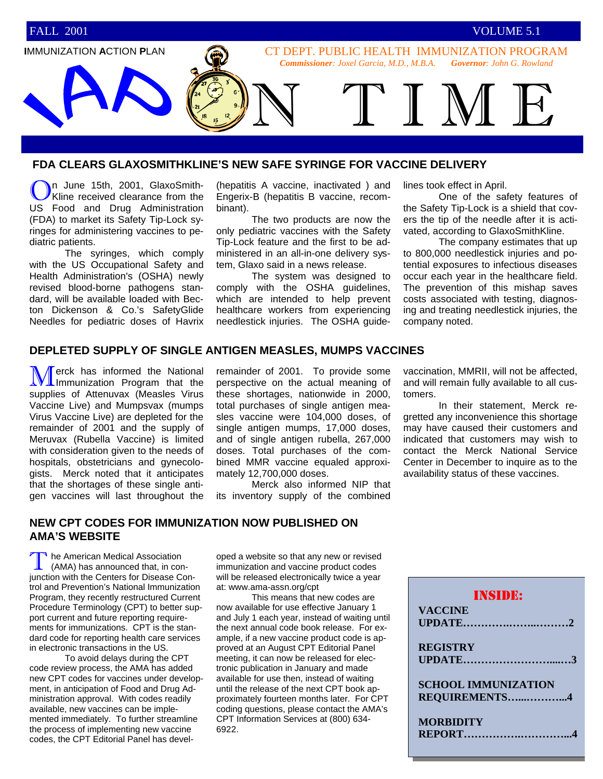

#### **FDA CLEARS GLAXOSMITHKLINE'S NEW SAFE SYRINGE FOR VACCINE DELIVERY**

In June 15th, 2001, GlaxoSmith-Kline received clearance from the US Food and Drug Administration (FDA) to market its Safety Tip-Lock syringes for administering vaccines to pediatric patients.

 The syringes, which comply with the US Occupational Safety and Health Administration's (OSHA) newly revised blood-borne pathogens standard, will be available loaded with Becton Dickenson & Co.'s SafetyGlide Needles for pediatric doses of Havrix (hepatitis A vaccine, inactivated ) and Engerix-B (hepatitis B vaccine, recombinant).

 The two products are now the only pediatric vaccines with the Safety Tip-Lock feature and the first to be administered in an all-in-one delivery system, Glaxo said in a news release.

 The system was designed to comply with the OSHA guidelines, which are intended to help prevent healthcare workers from experiencing needlestick injuries. The OSHA guidelines took effect in April.

 One of the safety features of the Safety Tip-Lock is a shield that covers the tip of the needle after it is activated, according to GlaxoSmithKline.

 The company estimates that up to 800,000 needlestick injuries and potential exposures to infectious diseases occur each year in the healthcare field. The prevention of this mishap saves costs associated with testing, diagnosing and treating needlestick injuries, the company noted.

## **DEPLETED SUPPLY OF SINGLE ANTIGEN MEASLES, MUMPS VACCINES**

Merck has informed the National Immunization Program that the supplies of Attenuvax (Measles Virus Vaccine Live) and Mumpsvax (mumps Virus Vaccine Live) are depleted for the remainder of 2001 and the supply of Meruvax (Rubella Vaccine) is limited with consideration given to the needs of hospitals, obstetricians and gynecologists. Merck noted that it anticipates that the shortages of these single antigen vaccines will last throughout the

remainder of 2001. To provide some perspective on the actual meaning of these shortages, nationwide in 2000, total purchases of single antigen measles vaccine were 104,000 doses, of single antigen mumps, 17,000 doses, and of single antigen rubella, 267,000 doses. Total purchases of the combined MMR vaccine equaled approximately 12,700,000 doses.

 Merck also informed NIP that its inventory supply of the combined

vaccination, MMRII, will not be affected, and will remain fully available to all customers.

 In their statement, Merck regretted any inconvenience this shortage may have caused their customers and indicated that customers may wish to contact the Merck National Service Center in December to inquire as to the availability status of these vaccines.

#### **NEW CPT CODES FOR IMMUNIZATION NOW PUBLISHED ON AMA'S WEBSITE**

The American Medical Association<br>(AMA) has announced that, in con-<br>junction with the Centers for Disease Conhe American Medical Association (AMA) has announced that, in control and Prevention's National Immunization Program, they recently restructured Current Procedure Terminology (CPT) to better support current and future reporting requirements for immunizations. CPT is the standard code for reporting health care services in electronic transactions in the US.

 To avoid delays during the CPT code review process, the AMA has added new CPT codes for vaccines under development, in anticipation of Food and Drug Administration approval. With codes readily available, new vaccines can be implemented immediately. To further streamline the process of implementing new vaccine codes, the CPT Editorial Panel has developed a website so that any new or revised immunization and vaccine product codes will be released electronically twice a year at: www.ama-assn.org/cpt

 This means that new codes are now available for use effective January 1 and July 1 each year, instead of waiting until the next annual code book release. For example, if a new vaccine product code is approved at an August CPT Editorial Panel meeting, it can now be released for electronic publication in January and made available for use then, instead of waiting until the release of the next CPT book approximately fourteen months later. For CPT coding questions, please contact the AMA's CPT Information Services at (800) 634- 6922.

| <b>INSIDE:</b>             |  |  |
|----------------------------|--|--|
| <b>VACCINE</b>             |  |  |
|                            |  |  |
|                            |  |  |
| <b>REGISTRY</b>            |  |  |
|                            |  |  |
|                            |  |  |
| <b>SCHOOL IMMUNIZATION</b> |  |  |
| REQUIREMENTS4              |  |  |
|                            |  |  |
| <b>MORBIDITY</b>           |  |  |
| <b>REPORT</b>              |  |  |
|                            |  |  |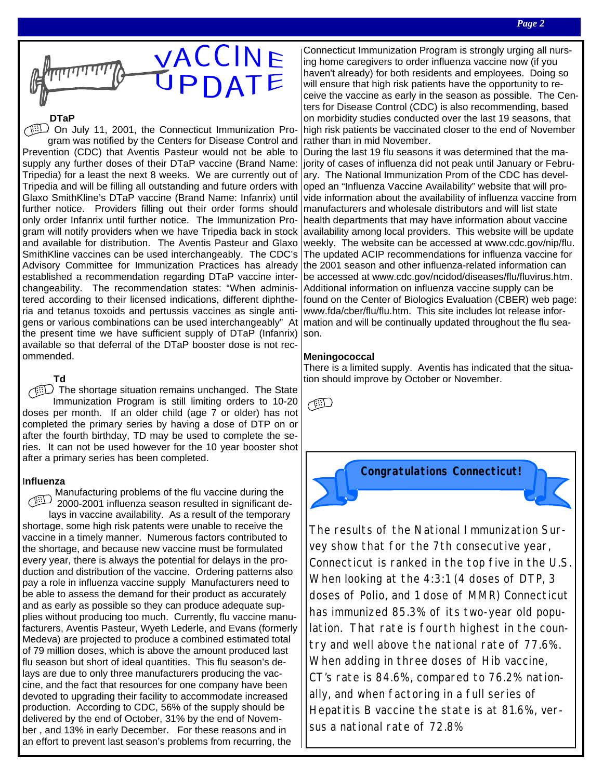

#### **DTaP**

On July 11, 2001, the Connecticut Immunization Program was notified by the Centers for Disease Control and Prevention (CDC) that Aventis Pasteur would not be able to supply any further doses of their DTaP vaccine (Brand Name: Tripedia) for a least the next 8 weeks. We are currently out of Tripedia and will be filling all outstanding and future orders with Glaxo SmithKline's DTaP vaccine (Brand Name: Infanrix) until further notice. Providers filling out their order forms should only order Infanrix until further notice. The Immunization Program will notify providers when we have Tripedia back in stock and available for distribution. The Aventis Pasteur and Glaxo SmithKline vaccines can be used interchangeably. The CDC's Advisory Committee for Immunization Practices has already established a recommendation regarding DTaP vaccine interchangeability. The recommendation states: "When administered according to their licensed indications, different diphtheria and tetanus toxoids and pertussis vaccines as single antigens or various combinations can be used interchangeably" At the present time we have sufficient supply of DTaP (Infanrix) available so that deferral of the DTaP booster dose is not recommended.

**Td**

The shortage situation remains unchanged. The State Immunization Program is still limiting orders to 10-20 doses per month. If an older child (age 7 or older) has not completed the primary series by having a dose of DTP on or after the fourth birthday, TD may be used to complete the series. It can not be used however for the 10 year booster shot after a primary series has been completed.

#### I**nfluenza**

Manufacturing problems of the flu vaccine during the 2000-2001 influenza season resulted in significant delays in vaccine availability. As a result of the temporary shortage, some high risk patents were unable to receive the vaccine in a timely manner. Numerous factors contributed to the shortage, and because new vaccine must be formulated every year, there is always the potential for delays in the production and distribution of the vaccine. Ordering patterns also pay a role in influenza vaccine supply Manufacturers need to be able to assess the demand for their product as accurately and as early as possible so they can produce adequate supplies without producing too much. Currently, flu vaccine manufacturers, Aventis Pasteur, Wyeth Lederle, and Evans (formerly Medeva) are projected to produce a combined estimated total of 79 million doses, which is above the amount produced last flu season but short of ideal quantities. This flu season's delays are due to only three manufacturers producing the vaccine, and the fact that resources for one company have been devoted to upgrading their facility to accommodate increased production. According to CDC, 56% of the supply should be delivered by the end of October, 31% by the end of November , and 13% in early December. For these reasons and in an effort to prevent last season's problems from recurring, the

Connecticut Immunization Program is strongly urging all nursing home caregivers to order influenza vaccine now (if you haven't already) for both residents and employees. Doing so will ensure that high risk patients have the opportunity to receive the vaccine as early in the season as possible. The Centers for Disease Control (CDC) is also recommending, based on morbidity studies conducted over the last 19 seasons, that high risk patients be vaccinated closer to the end of November rather than in mid November.

During the last 19 flu seasons it was determined that the majority of cases of influenza did not peak until January or February. The National Immunization Prom of the CDC has developed an "Influenza Vaccine Availability" website that will provide information about the availability of influenza vaccine from manufacturers and wholesale distributors and will list state health departments that may have information about vaccine availability among local providers. This website will be update weekly. The website can be accessed at www.cdc.gov/nip/flu. The updated ACIP recommendations for influenza vaccine for the 2001 season and other influenza-related information can be accessed at www.cdc.gov/ncidod/diseases/flu/fluvirus.htm. Additional information on influenza vaccine supply can be found on the Center of Biologics Evaluation (CBER) web page: www.fda/cber/flu/flu.htm. This site includes lot release information and will be continually updated throughout the flu season.

#### **Meningococcal**

There is a limited supply. Aventis has indicated that the situation should improve by October or November.

 $\bigoplus$ 

**Congratulations Connecticut!**

The results of the National Immunization Survey show that for the 7th consecutive year, Connecticut is ranked in the top five in the U.S. When looking at the 4:3:1 (4 doses of DTP, 3 doses of Polio, and 1 dose of MMR) Connecticut has immunized 85.3% of its two-year old population. That rate is fourth highest in the country and well above the national rate of 77.6%. When adding in three doses of Hib vaccine, CT's rate is 84.6%, compared to 76.2% nationally, and when factoring in a full series of Hepatitis B vaccine the state is at 81.6%, versus a national rate of 72.8%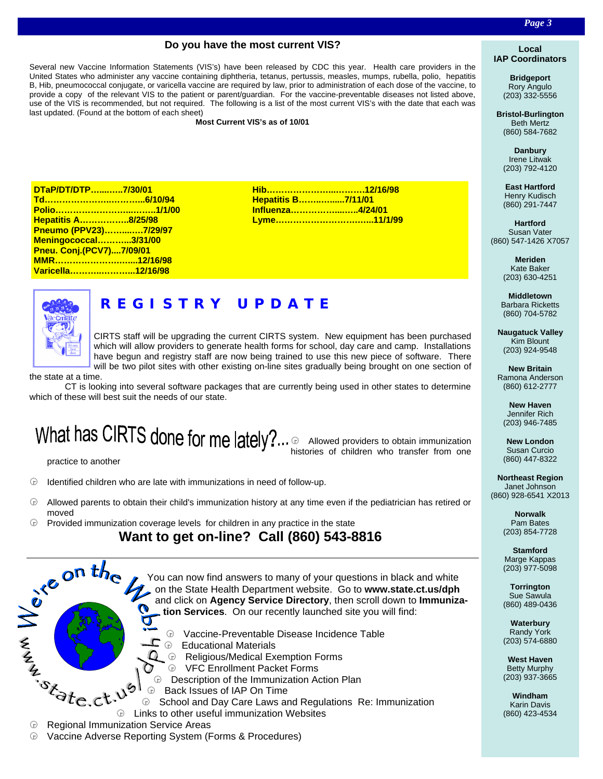#### **Do you have the most current VIS?**

Several new Vaccine Information Statements (VIS's) have been released by CDC this year. Health care providers in the United States who administer any vaccine containing diphtheria, tetanus, pertussis, measles, mumps, rubella, polio, hepatitis B, Hib, pneumococcal conjugate, or varicella vaccine are required by law, prior to administration of each dose of the vaccine, to provide a copy of the relevant VIS to the patient or parent/guardian. For the vaccine-preventable diseases not listed above, use of the VIS is recommended, but not required. The following is a list of the most current VIS's with the date that each was last updated. (Found at the bottom of each sheet)

**Most Current VIS's as of 10/01**

| DTaP/DT/DTP7/30/01          |  |
|-----------------------------|--|
|                             |  |
|                             |  |
| <b>Hepatitis A8/25/98</b>   |  |
| Pneumo (PPV23)7/29/97       |  |
| <b>Meningococcal3/31/00</b> |  |
| Pneu. Conj.(PCV7)7/09/01    |  |
|                             |  |
| Varicella12/16/98           |  |

| <b>Hepatitis B7/11/01</b> |  |
|---------------------------|--|
| Influenza4/24/01          |  |
|                           |  |

# **REGISTRY UPDATE**

CIRTS staff will be upgrading the current CIRTS system. New equipment has been purchased which will allow providers to generate health forms for school, day care and camp. Installations have begun and registry staff are now being trained to use this new piece of software. There will be two pilot sites with other existing on-line sites gradually being brought on one section of

the state at a time.

 CT is looking into several software packages that are currently being used in other states to determine which of these will best suit the needs of our state.

 $$\bigcirc$  Allowed providers to obtain immunization$ histories of children who transfer from one

practice to another

 $\Theta$  Identified children who are late with immunizations in need of follow-up.

- $\bigoplus$  Allowed parents to obtain their child's immunization history at any time even if the pediatrician has retired or moved
- $$\oplus$$  Provided immunization coverage levels for children in any practice in the state



â Vaccine Adverse Reporting System (Forms & Procedures)

#### **Local IAP Coordinators**

**Bridgeport** Rory Angulo (203) 332-5556

**Bristol-Burlington** Beth Mertz (860) 584-7682

**Danbury** Irene Litwak (203) 792-4120

**East Hartford** Henry Kudisch (860) 291-7447

**Hartford** Susan Vater (860) 547-1426 X7057

> **Meriden** Kate Baker (203) 630-4251

**Middletown** Barbara Ricketts (860) 704-5782

**Naugatuck Valley** Kim Blount (203) 924-9548

**New Britain** Ramona Anderson (860) 612-2777

**New Haven** Jennifer Rich (203) 946-7485

**New London** Susan Curcio (860) 447-8322

**Northeast Region** Janet Johnson (860) 928-6541 X2013

> **Norwalk** Pam Bates (203) 854-7728

> **Stamford** Marge Kappas (203) 977-5098

> **Torrington** Sue Sawula (860) 489-0436

> **Waterbury** Randy York (203) 574-6880

> **West Haven** Betty Murphy (203) 937-3665

**Windham** Karin Davis (860) 423-4534